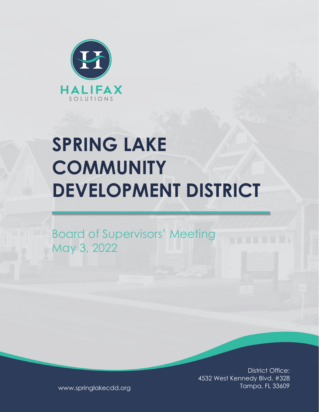

# **SPRING LAKE COMMUNITY DEVELOPMENT DISTRICT**

Board of Supervisors' Meeting May 3, 2022

> District Office: 4532 West Kennedy Blvd. #328 Tampa, FL 33609

www.springlakecdd.org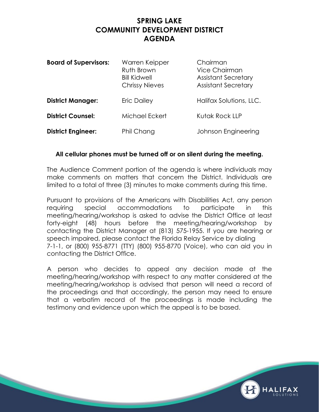# **SPRING LAKE COMMUNITY DEVELOPMENT DISTRICT AGENDA**

| <b>Board of Supervisors:</b> | Warren Keipper<br>Ruth Brown<br><b>Bill Kidwell</b><br><b>Chrissy Nieves</b> | Chairman<br>Vice Chairman<br><b>Assistant Secretary</b><br><b>Assistant Secretary</b> |
|------------------------------|------------------------------------------------------------------------------|---------------------------------------------------------------------------------------|
| <b>District Manager:</b>     | <b>Eric Dailey</b>                                                           | Halifax Solutions, LLC.                                                               |
| <b>District Counsel:</b>     | Michael Eckert                                                               | Kutak Rock LLP                                                                        |
| <b>District Engineer:</b>    | Phil Chang                                                                   | Johnson Engineering                                                                   |

#### **All cellular phones must be turned off or on silent during the meeting.**

The Audience Comment portion of the agenda is where individuals may make comments on matters that concern the District. Individuals are limited to a total of three (3) minutes to make comments during this time.

Pursuant to provisions of the Americans with Disabilities Act, any person requiring special accommodations to participate in this meeting/hearing/workshop is asked to advise the District Office at least forty-eight (48) hours before the meeting/hearing/workshop by contacting the District Manager at (813) 575-1955. If you are hearing or speech impaired, please contact the Florida Relay Service by dialing 7-1-1, or (800) 955-8771 (TTY) (800) 955-8770 (Voice), who can aid you in contacting the District Office.

A person who decides to appeal any decision made at the meeting/hearing/workshop with respect to any matter considered at the meeting/hearing/workshop is advised that person will need a record of the proceedings and that accordingly, the person may need to ensure that a verbatim record of the proceedings is made including the testimony and evidence upon which the appeal is to be based.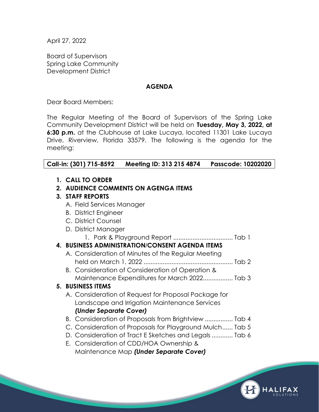April 27, 2022

Board of Supervisors Spring Lake Community Development District

#### **AGENDA**

Dear Board Members:

The Regular Meeting of the Board of Supervisors of the Spring Lake Community Development District will be held on **Tuesday, May 3, 2022, at 6:30 p.m.** at the Clubhouse at Lake Lucaya, located 11301 Lake Lucaya Drive, Riverview, Florida 33579. The following is the agenda for the meeting:

## **Call-in: (301) 715-8592 Meeting ID: 313 215 4874 Passcode: 10202020**

|  |  |  |  | 1. CALL TO ORDER |  |
|--|--|--|--|------------------|--|
|--|--|--|--|------------------|--|

# **2. AUDIENCE COMMENTS ON AGENGA ITEMS**

#### **3. STAFF REPORTS**

- A. Field Services Manager
- B. District Engineer
- C. District Counsel
- D. District Manager
	- 1. Park & Playground Report .................................. Tab 1

## **4. BUSINESS ADMINISTRATION**/**CONSENT AGENDA ITEMS**

- A. Consideration of Minutes of the Regular Meeting held on March 1, 2022 ................................................... Tab 2
- B. Consideration of Consideration of Operation & Maintenance Expenditures for March 2022................. Tab 3

## **5. BUSINESS ITEMS**

- A. Consideration of Request for Proposal Package for Landscape and Irrigation Maintenance Services *(Under Separate Cover)*
- B. Consideration of Proposals from Brightview ................ Tab 4
- C. Consideration of Proposals for Playground Mulch...... Tab 5
- D. Consideration of Tract E Sketches and Legals ............ Tab 6
- E. Consideration of CDD/HOA Ownership & Maintenance Map *(Under Separate Cover)*